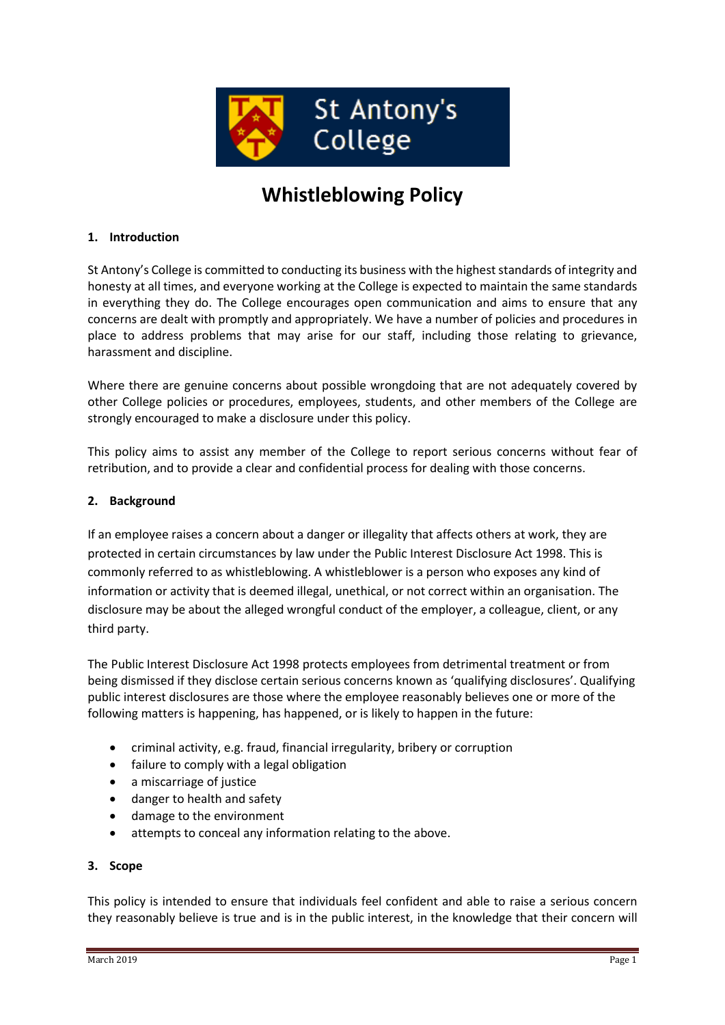

# **Whistleblowing Policy**

#### **1. Introduction**

St Antony's College is committed to conducting its business with the highest standards of integrity and honesty at all times, and everyone working at the College is expected to maintain the same standards in everything they do. The College encourages open communication and aims to ensure that any concerns are dealt with promptly and appropriately. We have a number of policies and procedures in place to address problems that may arise for our staff, including those relating to grievance, harassment and discipline.

Where there are genuine concerns about possible wrongdoing that are not adequately covered by other College policies or procedures, employees, students, and other members of the College are strongly encouraged to make a disclosure under this policy.

This policy aims to assist any member of the College to report serious concerns without fear of retribution, and to provide a clear and confidential process for dealing with those concerns.

#### **2. Background**

If an employee raises a concern about a danger or illegality that affects others at work, they are protected in certain circumstances by law under the Public Interest Disclosure Act 1998. This is commonly referred to as whistleblowing. A whistleblower is a person who exposes any kind of information or activity that is deemed illegal, unethical, or not correct within an organisation. The disclosure may be about the alleged wrongful conduct of the employer, a colleague, client, or any third party.

The Public Interest Disclosure Act 1998 protects employees from detrimental treatment or from being dismissed if they disclose certain serious concerns known as 'qualifying disclosures'. Qualifying public interest disclosures are those where the employee reasonably believes one or more of the following matters is happening, has happened, or is likely to happen in the future:

- criminal activity, e.g. fraud, financial irregularity, bribery or corruption
- failure to comply with a legal obligation
- a miscarriage of justice
- danger to health and safety
- damage to the environment
- attempts to conceal any information relating to the above.

## **3. Scope**

This policy is intended to ensure that individuals feel confident and able to raise a serious concern they reasonably believe is true and is in the public interest, in the knowledge that their concern will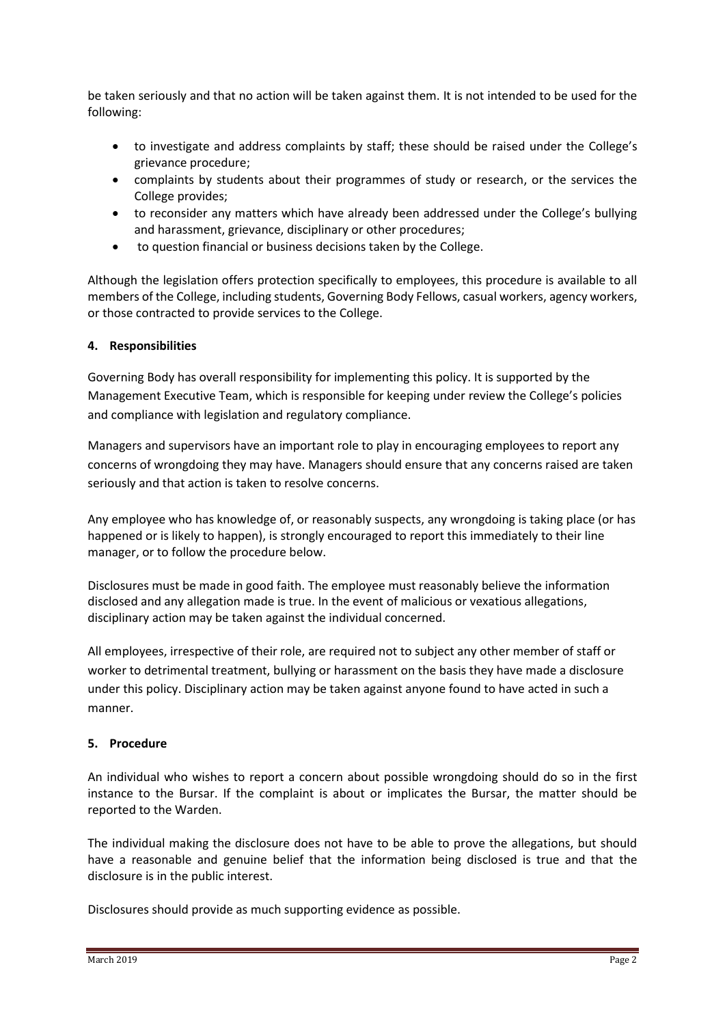be taken seriously and that no action will be taken against them. It is not intended to be used for the following:

- to investigate and address complaints by staff; these should be raised under the College's grievance procedure;
- complaints by students about their programmes of study or research, or the services the College provides;
- to reconsider any matters which have already been addressed under the College's bullying and harassment, grievance, disciplinary or other procedures;
- to question financial or business decisions taken by the College.

Although the legislation offers protection specifically to employees, this procedure is available to all members of the College, including students, Governing Body Fellows, casual workers, agency workers, or those contracted to provide services to the College.

## **4. Responsibilities**

Governing Body has overall responsibility for implementing this policy. It is supported by the Management Executive Team, which is responsible for keeping under review the College's policies and compliance with legislation and regulatory compliance.

Managers and supervisors have an important role to play in encouraging employees to report any concerns of wrongdoing they may have. Managers should ensure that any concerns raised are taken seriously and that action is taken to resolve concerns.

Any employee who has knowledge of, or reasonably suspects, any wrongdoing is taking place (or has happened or is likely to happen), is strongly encouraged to report this immediately to their line manager, or to follow the procedure below.

Disclosures must be made in good faith. The employee must reasonably believe the information disclosed and any allegation made is true. In the event of malicious or vexatious allegations, disciplinary action may be taken against the individual concerned.

All employees, irrespective of their role, are required not to subject any other member of staff or worker to detrimental treatment, bullying or harassment on the basis they have made a disclosure under this policy. Disciplinary action may be taken against anyone found to have acted in such a manner.

#### **5. Procedure**

An individual who wishes to report a concern about possible wrongdoing should do so in the first instance to the Bursar. If the complaint is about or implicates the Bursar, the matter should be reported to the Warden.

The individual making the disclosure does not have to be able to prove the allegations, but should have a reasonable and genuine belief that the information being disclosed is true and that the disclosure is in the public interest.

Disclosures should provide as much supporting evidence as possible.